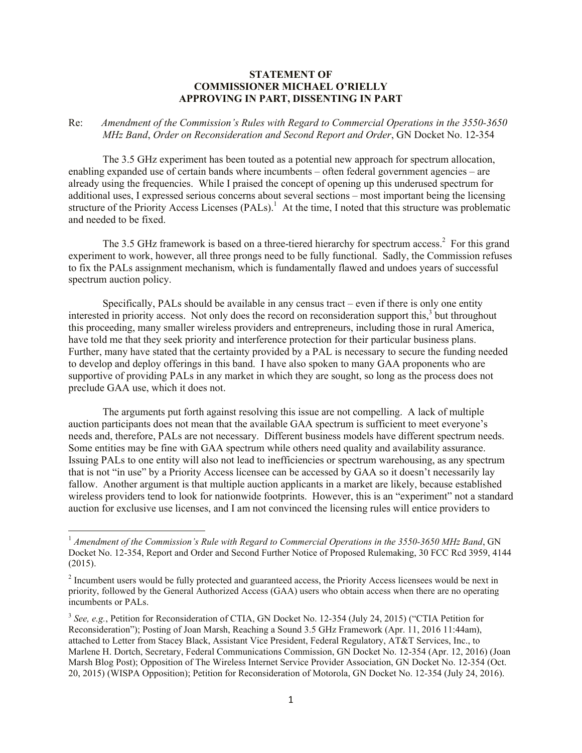## **STATEMENT OF COMMISSIONER MICHAEL O'RIELLY APPROVING IN PART, DISSENTING IN PART**

## Re: *Amendment of the Commission's Rules with Regard to Commercial Operations in the 3550-3650 MHz Band*, *Order on Reconsideration and Second Report and Order*, GN Docket No. 12-354

The 3.5 GHz experiment has been touted as a potential new approach for spectrum allocation, enabling expanded use of certain bands where incumbents – often federal government agencies – are already using the frequencies. While I praised the concept of opening up this underused spectrum for additional uses, I expressed serious concerns about several sections – most important being the licensing structure of the Priority Access Licenses (PALs).<sup>1</sup> At the time, I noted that this structure was problematic and needed to be fixed.

The 3.5 GHz framework is based on a three-tiered hierarchy for spectrum access.<sup>2</sup> For this grand experiment to work, however, all three prongs need to be fully functional. Sadly, the Commission refuses to fix the PALs assignment mechanism, which is fundamentally flawed and undoes years of successful spectrum auction policy.

Specifically, PALs should be available in any census tract – even if there is only one entity interested in priority access. Not only does the record on reconsideration support this,<sup>3</sup> but throughout this proceeding, many smaller wireless providers and entrepreneurs, including those in rural America, have told me that they seek priority and interference protection for their particular business plans. Further, many have stated that the certainty provided by a PAL is necessary to secure the funding needed to develop and deploy offerings in this band. I have also spoken to many GAA proponents who are supportive of providing PALs in any market in which they are sought, so long as the process does not preclude GAA use, which it does not.

The arguments put forth against resolving this issue are not compelling. A lack of multiple auction participants does not mean that the available GAA spectrum is sufficient to meet everyone's needs and, therefore, PALs are not necessary. Different business models have different spectrum needs. Some entities may be fine with GAA spectrum while others need quality and availability assurance. Issuing PALs to one entity will also not lead to inefficiencies or spectrum warehousing, as any spectrum that is not "in use" by a Priority Access licensee can be accessed by GAA so it doesn't necessarily lay fallow. Another argument is that multiple auction applicants in a market are likely, because established wireless providers tend to look for nationwide footprints. However, this is an "experiment" not a standard auction for exclusive use licenses, and I am not convinced the licensing rules will entice providers to

l

<sup>1</sup> *Amendment of the Commission's Rule with Regard to Commercial Operations in the 3550-3650 MHz Band*, GN Docket No. 12-354, Report and Order and Second Further Notice of Proposed Rulemaking, 30 FCC Rcd 3959, 4144 (2015).

 $2^{2}$  Incumbent users would be fully protected and guaranteed access, the Priority Access licensees would be next in priority, followed by the General Authorized Access (GAA) users who obtain access when there are no operating incumbents or PALs.

<sup>&</sup>lt;sup>3</sup> See, e.g., Petition for Reconsideration of CTIA, GN Docket No. 12-354 (July 24, 2015) ("CTIA Petition for Reconsideration"); Posting of Joan Marsh, Reaching a Sound 3.5 GHz Framework (Apr. 11, 2016 11:44am), attached to Letter from Stacey Black, Assistant Vice President, Federal Regulatory, AT&T Services, Inc., to Marlene H. Dortch, Secretary, Federal Communications Commission, GN Docket No. 12-354 (Apr. 12, 2016) (Joan Marsh Blog Post); Opposition of The Wireless Internet Service Provider Association, GN Docket No. 12-354 (Oct. 20, 2015) (WISPA Opposition); Petition for Reconsideration of Motorola, GN Docket No. 12-354 (July 24, 2016).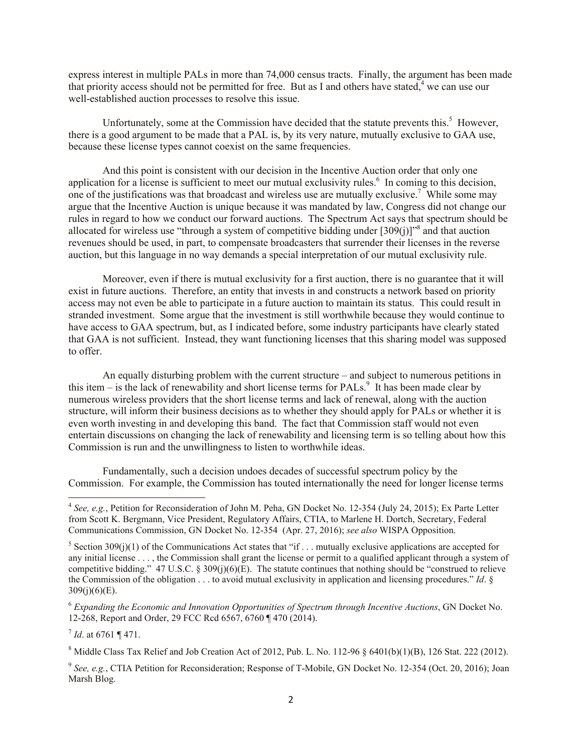express interest in multiple PALs in more than 74,000 census tracts. Finally, the argument has been made that priority access should not be permitted for free. But as I and others have stated, $4$  we can use our well-established auction processes to resolve this issue.

Unfortunately, some at the Commission have decided that the statute prevents this.<sup>5</sup> However, there is a good argument to be made that a PAL is, by its very nature, mutually exclusive to GAA use, because these license types cannot coexist on the same frequencies.

And this point is consistent with our decision in the Incentive Auction order that only one application for a license is sufficient to meet our mutual exclusivity rules. $6$  In coming to this decision, one of the justifications was that broadcast and wireless use are mutually exclusive.<sup>7</sup> While some may argue that the Incentive Auction is unique because it was mandated by law, Congress did not change our rules in regard to how we conduct our forward auctions. The Spectrum Act says that spectrum should be allocated for wireless use "through a system of competitive bidding under  $[309(j)]^{8}$  and that auction revenues should be used, in part, to compensate broadcasters that surrender their licenses in the reverse auction, but this language in no way demands a special interpretation of our mutual exclusivity rule.

Moreover, even if there is mutual exclusivity for a first auction, there is no guarantee that it will exist in future auctions. Therefore, an entity that invests in and constructs a network based on priority access may not even be able to participate in a future auction to maintain its status. This could result in stranded investment. Some argue that the investment is still worthwhile because they would continue to have access to GAA spectrum, but, as I indicated before, some industry participants have clearly stated that GAA is not sufficient. Instead, they want functioning licenses that this sharing model was supposed to offer.

An equally disturbing problem with the current structure – and subject to numerous petitions in this item  $-$  is the lack of renewability and short license terms for PALs.<sup>9</sup> It has been made clear by numerous wireless providers that the short license terms and lack of renewal, along with the auction structure, will inform their business decisions as to whether they should apply for PALs or whether it is even worth investing in and developing this band. The fact that Commission staff would not even entertain discussions on changing the lack of renewability and licensing term is so telling about how this Commission is run and the unwillingness to listen to worthwhile ideas.

Fundamentally, such a decision undoes decades of successful spectrum policy by the Commission. For example, the Commission has touted internationally the need for longer license terms

7 *Id*. at 6761 ¶ 471.

 4 *See, e.g.*, Petition for Reconsideration of John M. Peha, GN Docket No. 12-354 (July 24, 2015); Ex Parte Letter from Scott K. Bergmann, Vice President, Regulatory Affairs, CTIA, to Marlene H. Dortch, Secretary, Federal Communications Commission, GN Docket No. 12-354 (Apr. 27, 2016); *see also* WISPA Opposition.

<sup>&</sup>lt;sup>5</sup> Section 309(j)(1) of the Communications Act states that "if . . . mutually exclusive applications are accepted for any initial license . . . , the Commission shall grant the license or permit to a qualified applicant through a system of competitive bidding." 47 U.S.C. § 309(j)(6)(E). The statute continues that nothing should be "construed to relieve the Commission of the obligation . . . to avoid mutual exclusivity in application and licensing procedures." *Id*. §  $309(j)(6)(E)$ .

<sup>6</sup> *Expanding the Economic and Innovation Opportunities of Spectrum through Incentive Auctions*, GN Docket No. 12-268, Report and Order, 29 FCC Rcd 6567, 6760 ¶ 470 (2014).

<sup>&</sup>lt;sup>8</sup> Middle Class Tax Relief and Job Creation Act of 2012, Pub. L. No. 112-96  $\S$  6401(b)(1)(B), 126 Stat. 222 (2012).

<sup>&</sup>lt;sup>9</sup> See, e.g., CTIA Petition for Reconsideration; Response of T-Mobile, GN Docket No. 12-354 (Oct. 20, 2016); Joan Marsh Blog.